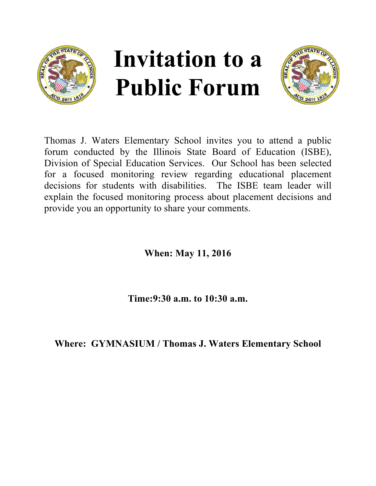



Thomas J. Waters Elementary School invites you to attend a public forum conducted by the Illinois State Board of Education (ISBE), Division of Special Education Services. Our School has been selected for a focused monitoring review regarding educational placement decisions for students with disabilities. The ISBE team leader will explain the focused monitoring process about placement decisions and provide you an opportunity to share your comments.

**When: May 11, 2016**

**Time:9:30 a.m. to 10:30 a.m.**

**Where: GYMNASIUM / Thomas J. Waters Elementary School**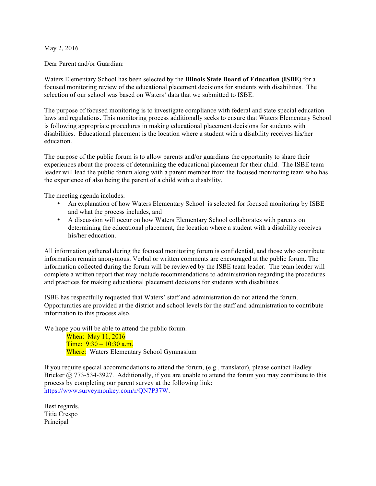## May 2, 2016

Dear Parent and/or Guardian:

Waters Elementary School has been selected by the **Illinois State Board of Education (ISBE**) for a focused monitoring review of the educational placement decisions for students with disabilities. The selection of our school was based on Waters' data that we submitted to ISBE.

The purpose of focused monitoring is to investigate compliance with federal and state special education laws and regulations. This monitoring process additionally seeks to ensure that Waters Elementary School is following appropriate procedures in making educational placement decisions for students with disabilities. Educational placement is the location where a student with a disability receives his/her education.

The purpose of the public forum is to allow parents and/or guardians the opportunity to share their experiences about the process of determining the educational placement for their child. The ISBE team leader will lead the public forum along with a parent member from the focused monitoring team who has the experience of also being the parent of a child with a disability.

The meeting agenda includes:

- An explanation of how Waters Elementary School is selected for focused monitoring by ISBE and what the process includes, and
- A discussion will occur on how Waters Elementary School collaborates with parents on determining the educational placement, the location where a student with a disability receives his/her education.

All information gathered during the focused monitoring forum is confidential, and those who contribute information remain anonymous. Verbal or written comments are encouraged at the public forum. The information collected during the forum will be reviewed by the ISBE team leader. The team leader will complete a written report that may include recommendations to administration regarding the procedures and practices for making educational placement decisions for students with disabilities.

ISBE has respectfully requested that Waters' staff and administration do not attend the forum. Opportunities are provided at the district and school levels for the staff and administration to contribute information to this process also.

We hope you will be able to attend the public forum.

When: May 11, 2016 Time:  $9:30 - 10:30$  a.m. Where: Waters Elementary School Gymnasium

If you require special accommodations to attend the forum, (e.g., translator), please contact Hadley Bricker @ 773-534-3927. Additionally, if you are unable to attend the forum you may contribute to this process by completing our parent survey at the following link: https://www.surveymonkey.com/r/QN7P37W.

Best regards, Titia Crespo Principal